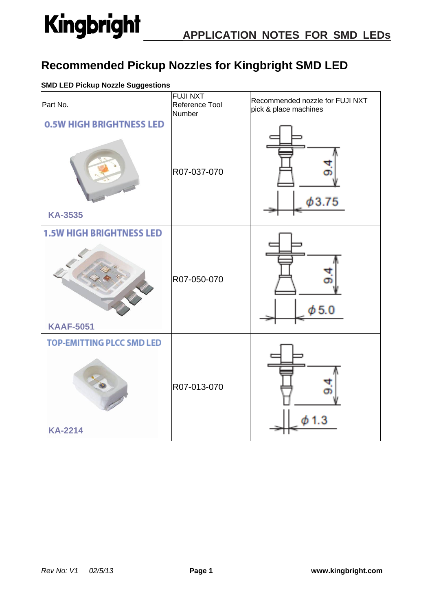### **Recommended Pickup Nozzles for Kingbright SMD LED**

### **SMD LED Pickup Nozzle Suggestions**

| Part No.                                            | <b>FUJI NXT</b><br>Reference Tool<br>Number | Recommended nozzle for FUJI NXT<br>pick & place machines |
|-----------------------------------------------------|---------------------------------------------|----------------------------------------------------------|
| <b>0.5W HIGH BRIGHTNESS LED</b><br><b>KA-3535</b>   | R07-037-070                                 | 63.75                                                    |
| <b>1.5W HIGH BRIGHTNESS LED</b><br><b>KAAF-5051</b> | R07-050-070                                 | $\phi$ 5.0                                               |
| <b>TOP-EMITTING PLCC SMD LED</b><br><b>KA-2214</b>  | R07-013-070                                 |                                                          |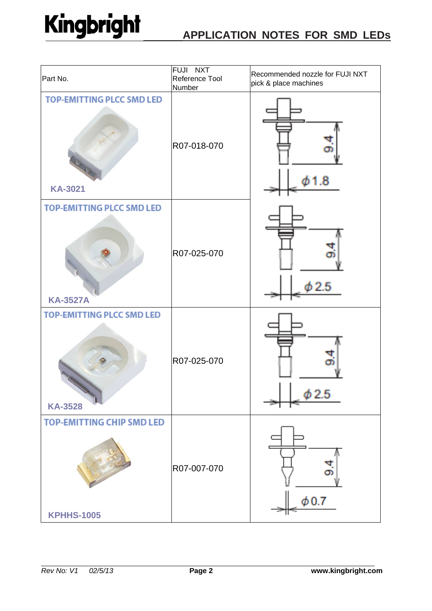| Part No.                                              | FUJI NXT<br>Reference Tool<br>Number | Recommended nozzle for FUJI NXT<br>pick & place machines |
|-------------------------------------------------------|--------------------------------------|----------------------------------------------------------|
| <b>TOP-EMITTING PLCC SMD LED</b><br><b>KA-3021</b>    | R07-018-070                          | 8                                                        |
| <b>TOP-EMITTING PLCC SMD LED</b><br><b>KA-3527A</b>   | R07-025-070                          |                                                          |
| <b>TOP-EMITTING PLCC SMD LED</b><br><b>KA-3528</b>    | R07-025-070                          | $\phi$ 2.5                                               |
| <b>TOP-EMITTING CHIP SMD LED</b><br><b>KPHHS-1005</b> | R07-007-070                          | $\phi$ 0.7                                               |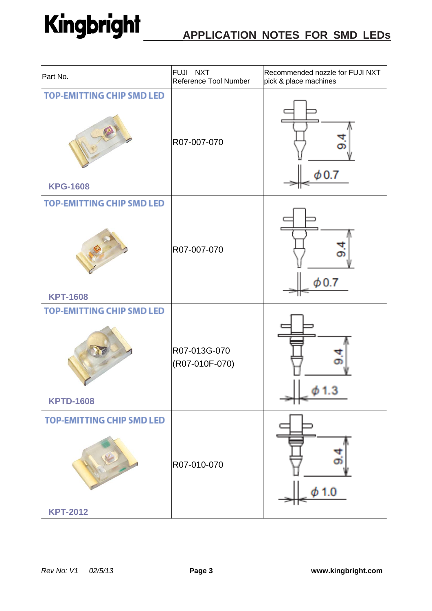| Part No.                                             | FUJI NXT<br>Reference Tool Number | Recommended nozzle for FUJI NXT<br>pick & place machines |
|------------------------------------------------------|-----------------------------------|----------------------------------------------------------|
| <b>TOP-EMITTING CHIP SMD LED</b><br><b>KPG-1608</b>  | R07-007-070                       | $\phi$ 0.7                                               |
| <b>TOP-EMITTING CHIP SMD LED</b><br><b>KPT-1608</b>  | R07-007-070                       | $\phi$ 0.7                                               |
| <b>TOP-EMITTING CHIP SMD LED</b><br><b>KPTD-1608</b> | R07-013G-070<br>(R07-010F-070)    | Ф 1.3                                                    |
| <b>TOP-EMITTING CHIP SMD LED</b><br><b>KPT-2012</b>  | R07-010-070                       | यां<br>σŝ<br>1.0                                         |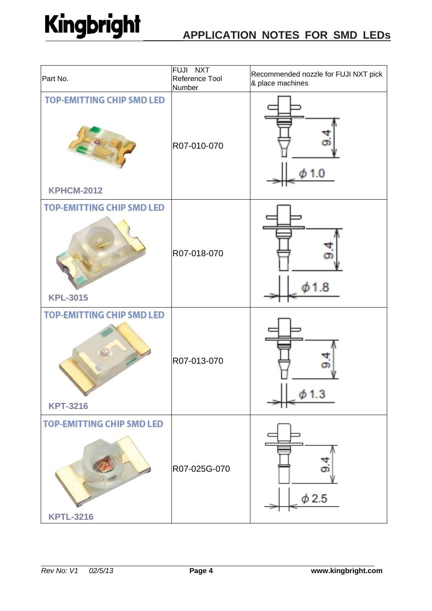| Part No.                                              | FUJI NXT<br>Reference Tool<br>Number | Recommended nozzle for FUJI NXT pick<br>& place machines |
|-------------------------------------------------------|--------------------------------------|----------------------------------------------------------|
| <b>TOP-EMITTING CHIP SMD LED</b><br><b>KPHCM-2012</b> | R07-010-070                          |                                                          |
| <b>TOP-EMITTING CHIP SMD LED</b><br><b>KPL-3015</b>   | R07-018-070                          |                                                          |
| <b>TOP-EMITTING CHIP SMD LED</b><br><b>KPT-3216</b>   | R07-013-070                          | 1.3                                                      |
| <b>TOP-EMITTING CHIP SMD LED</b><br><b>KPTL-3216</b>  | R07-025G-070                         | ග<br>$\phi$ 2.5                                          |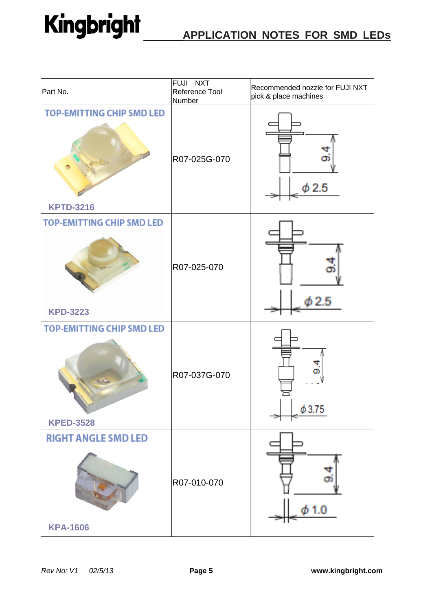| Part No.                                             | FUJI NXT<br>Reference Tool<br>Number | Recommended nozzle for FUJI NXT<br>pick & place machines |
|------------------------------------------------------|--------------------------------------|----------------------------------------------------------|
| <b>TOP-EMITTING CHIP SMD LED</b><br><b>KPTD-3216</b> | R07-025G-070                         | $\phi$ 2.5                                               |
| <b>TOP-EMITTING CHIP SMD LED</b><br><b>KPD-3223</b>  | R07-025-070                          | φ2.5                                                     |
| <b>TOP-EMITTING CHIP SMD LED</b><br><b>KPED-3528</b> | R07-037G-070                         | $\phi$ 3.75                                              |
| <b>RIGHT ANGLE SMD LED</b><br><b>KPA-1606</b>        | R07-010-070                          | प<br>øi<br>$\phi$ 1.0<br>Н.                              |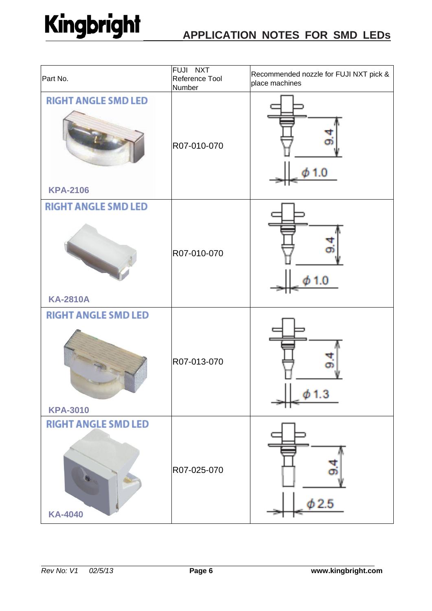| Part No.                                      | <b>FUJI NXT</b><br>Reference Tool<br>Number | Recommended nozzle for FUJI NXT pick &<br>place machines |
|-----------------------------------------------|---------------------------------------------|----------------------------------------------------------|
| <b>RIGHT ANGLE SMD LED</b><br><b>KPA-2106</b> | R07-010-070                                 |                                                          |
| <b>RIGHT ANGLE SMD LED</b><br><b>KA-2810A</b> | R07-010-070                                 |                                                          |
| <b>RIGHT ANGLE SMD LED</b><br><b>KPA-3010</b> | R07-013-070                                 | $\phi$ 1.3                                               |
| <b>RIGHT ANGLE SMD LED</b><br><b>KA-4040</b>  | R07-025-070                                 | Ч<br>аï<br>$\phi$ 2.5                                    |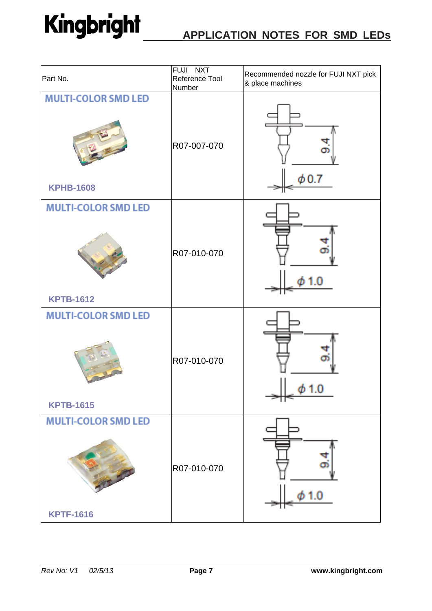| Part No.                                       | FUJI NXT<br>Reference Tool<br>Number | Recommended nozzle for FUJI NXT pick<br>& place machines |
|------------------------------------------------|--------------------------------------|----------------------------------------------------------|
| <b>MULTI-COLOR SMD LED</b><br><b>KPHB-1608</b> | R07-007-070                          | $\phi$ 0.7                                               |
| <b>MULTI-COLOR SMD LED</b><br><b>KPTB-1612</b> | R07-010-070                          | Ø۱                                                       |
| <b>MULTI-COLOR SMD LED</b><br><b>KPTB-1615</b> | R07-010-070                          | ש.ו ש                                                    |
| <b>MULTI-COLOR SMD LED</b><br><b>KPTF-1616</b> | R07-010-070                          | œ۱<br>1.0                                                |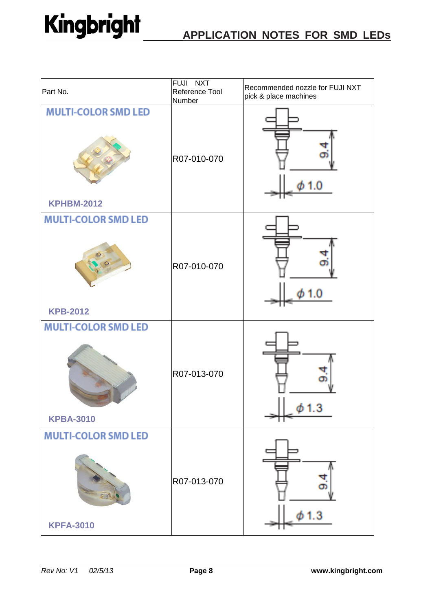| Part No.                                        | FUJI NXT<br>Reference Tool<br>Number | Recommended nozzle for FUJI NXT<br>pick & place machines |
|-------------------------------------------------|--------------------------------------|----------------------------------------------------------|
| <b>MULTI-COLOR SMD LED</b><br><b>KPHBM-2012</b> | R07-010-070                          |                                                          |
| <b>MULTI-COLOR SMD LED</b><br><b>KPB-2012</b>   | R07-010-070                          |                                                          |
| <b>MULTI-COLOR SMD LED</b><br><b>KPBA-3010</b>  | R07-013-070                          | 1.3                                                      |
| <b>MULTI-COLOR SMD LED</b><br><b>KPFA-3010</b>  | R07-013-070                          | a<br>œ<br>-3                                             |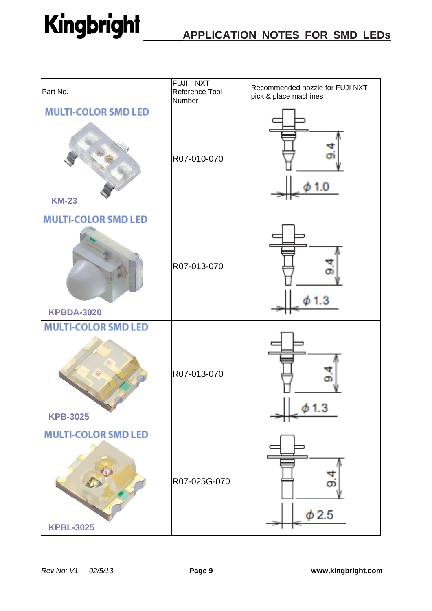| Part No.                                        | FUJI NXT<br>Reference Tool<br>Number | Recommended nozzle for FUJI NXT<br>pick & place machines |
|-------------------------------------------------|--------------------------------------|----------------------------------------------------------|
| <b>MULTI-COLOR SMD LED</b><br><b>KM-23</b>      | R07-010-070                          |                                                          |
| <b>MULTI-COLOR SMD LED</b><br><b>KPBDA-3020</b> | R07-013-070                          |                                                          |
| <b>MULTI-COLOR SMD LED</b><br><b>KPB-3025</b>   | R07-013-070                          | ф 1.3                                                    |
| <b>MULTI-COLOR SMD LED</b><br><b>KPBL-3025</b>  | R07-025G-070                         | बा<br>Οī<br>$\phi$ 2.5                                   |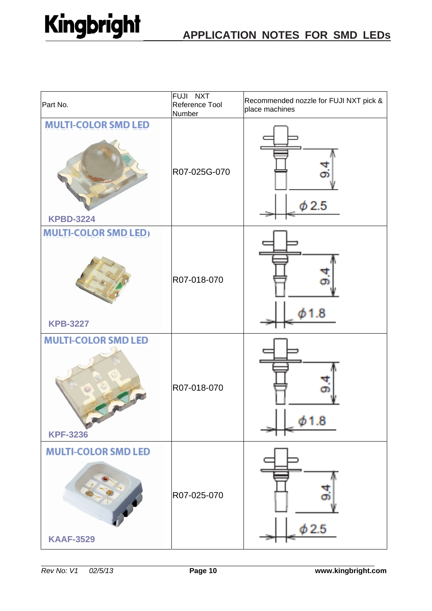| Part No.                                       | FUJI NXT<br>Reference Tool<br>Number | Recommended nozzle for FUJI NXT pick &<br>place machines |
|------------------------------------------------|--------------------------------------|----------------------------------------------------------|
| <b>MULTI-COLOR SMD LED</b><br><b>KPBD-3224</b> | R07-025G-070                         | Ф<br>ф 2.5                                               |
| <b>MULTI-COLOR SMD LED)</b><br><b>KPB-3227</b> | R07-018-070                          |                                                          |
| <b>MULTI-COLOR SMD LED</b><br><b>KPF-3236</b>  | R07-018-070                          | .8                                                       |
| <b>MULTI-COLOR SMD LED</b><br><b>KAAF-3529</b> | R07-025-070                          | ф 2.5                                                    |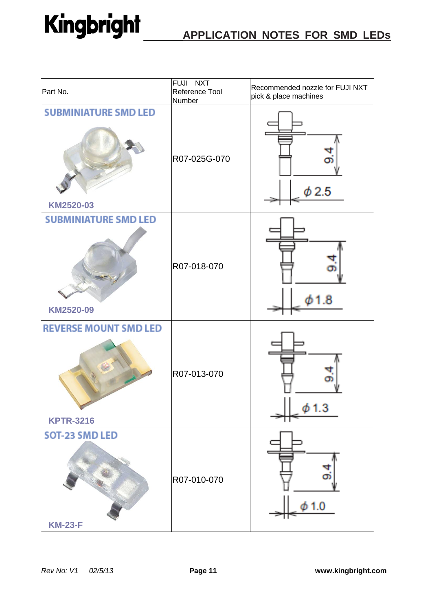| Part No.                                         | FUJI NXT<br>Reference Tool<br>Number | Recommended nozzle for FUJI NXT<br>pick & place machines |
|--------------------------------------------------|--------------------------------------|----------------------------------------------------------|
| <b>SUBMINIATURE SMD LED</b><br>KM2520-03         | R07-025G-070                         | ۵ŋ<br>$\phi$ 2.5                                         |
| <b>SUBMINIATURE SMD LED</b><br>KM2520-09         | R07-018-070                          |                                                          |
| <b>REVERSE MOUNT SMD LED</b><br><b>KPTR-3216</b> | R07-013-070                          | $\phi$ 1.3                                               |
| <b>SOT-23 SMD LED</b><br><b>KM-23-F</b>          | R07-010-070                          | ч<br>တ<br>ф 1.0                                          |